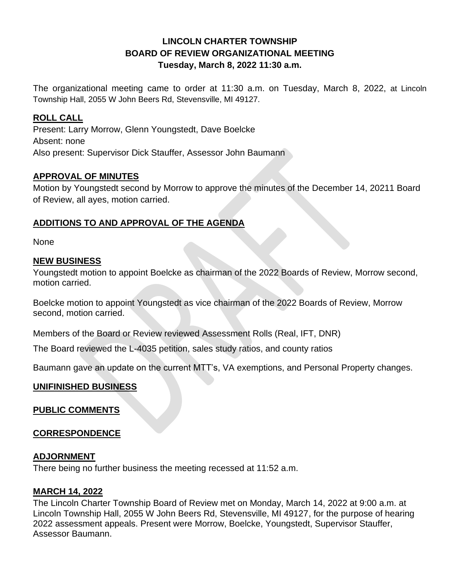# **LINCOLN CHARTER TOWNSHIP BOARD OF REVIEW ORGANIZATIONAL MEETING Tuesday, March 8, 2022 11:30 a.m.**

The organizational meeting came to order at 11:30 a.m. on Tuesday, March 8, 2022, at Lincoln Township Hall, 2055 W John Beers Rd, Stevensville, MI 49127.

## **ROLL CALL**

Present: Larry Morrow, Glenn Youngstedt, Dave Boelcke Absent: none Also present: Supervisor Dick Stauffer, Assessor John Baumann

### **APPROVAL OF MINUTES**

Motion by Youngstedt second by Morrow to approve the minutes of the December 14, 20211 Board of Review, all ayes, motion carried.

### **ADDITIONS TO AND APPROVAL OF THE AGENDA**

None

### **NEW BUSINESS**

Youngstedt motion to appoint Boelcke as chairman of the 2022 Boards of Review, Morrow second, motion carried.

Boelcke motion to appoint Youngstedt as vice chairman of the 2022 Boards of Review, Morrow second, motion carried.

Members of the Board or Review reviewed Assessment Rolls (Real, IFT, DNR)

The Board reviewed the L-4035 petition, sales study ratios, and county ratios

Baumann gave an update on the current MTT's, VA exemptions, and Personal Property changes.

### **UNIFINISHED BUSINESS**

#### **PUBLIC COMMENTS**

#### **CORRESPONDENCE**

#### **ADJORNMENT**

There being no further business the meeting recessed at 11:52 a.m.

#### **MARCH 14, 2022**

The Lincoln Charter Township Board of Review met on Monday, March 14, 2022 at 9:00 a.m. at Lincoln Township Hall, 2055 W John Beers Rd, Stevensville, MI 49127, for the purpose of hearing 2022 assessment appeals. Present were Morrow, Boelcke, Youngstedt, Supervisor Stauffer, Assessor Baumann.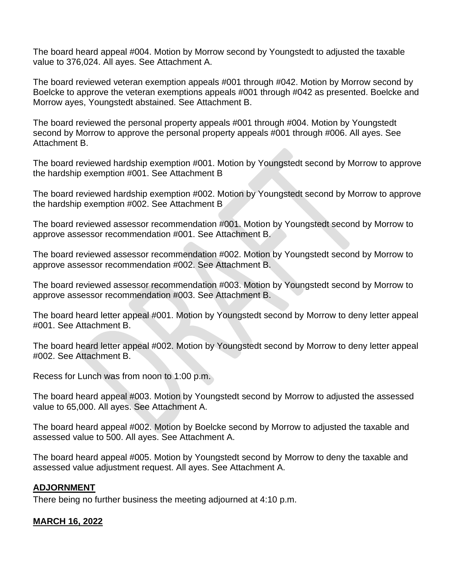The board heard appeal #004. Motion by Morrow second by Youngstedt to adjusted the taxable value to 376,024. All ayes. See Attachment A.

The board reviewed veteran exemption appeals #001 through #042. Motion by Morrow second by Boelcke to approve the veteran exemptions appeals #001 through #042 as presented. Boelcke and Morrow ayes, Youngstedt abstained. See Attachment B.

The board reviewed the personal property appeals #001 through #004. Motion by Youngstedt second by Morrow to approve the personal property appeals #001 through #006. All ayes. See Attachment B.

The board reviewed hardship exemption #001. Motion by Youngstedt second by Morrow to approve the hardship exemption #001. See Attachment B

The board reviewed hardship exemption #002. Motion by Youngstedt second by Morrow to approve the hardship exemption #002. See Attachment B

The board reviewed assessor recommendation #001. Motion by Youngstedt second by Morrow to approve assessor recommendation #001. See Attachment B.

The board reviewed assessor recommendation #002. Motion by Youngstedt second by Morrow to approve assessor recommendation #002. See Attachment B.

The board reviewed assessor recommendation #003. Motion by Youngstedt second by Morrow to approve assessor recommendation #003. See Attachment B.

The board heard letter appeal #001. Motion by Youngstedt second by Morrow to deny letter appeal #001. See Attachment B.

The board heard letter appeal #002. Motion by Youngstedt second by Morrow to deny letter appeal #002. See Attachment B.

Recess for Lunch was from noon to 1:00 p.m.

The board heard appeal #003. Motion by Youngstedt second by Morrow to adjusted the assessed value to 65,000. All ayes. See Attachment A.

The board heard appeal #002. Motion by Boelcke second by Morrow to adjusted the taxable and assessed value to 500. All ayes. See Attachment A.

The board heard appeal #005. Motion by Youngstedt second by Morrow to deny the taxable and assessed value adjustment request. All ayes. See Attachment A.

#### **ADJORNMENT**

There being no further business the meeting adjourned at 4:10 p.m.

#### **MARCH 16, 2022**